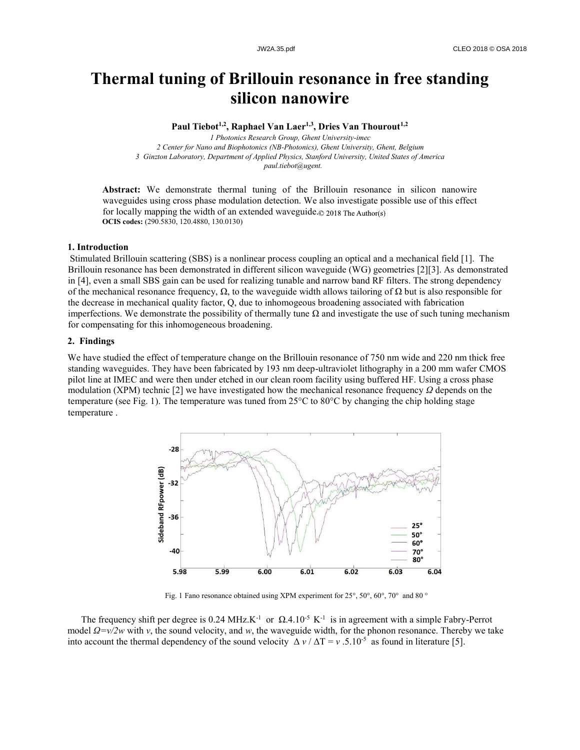# **Thermal tuning of Brillouin resonance in free standing silicon nanowire**

**Paul Tiebot1,2 , Raphael Van Laer 1,3 , Dries Van Thourout1,2** 

 *Photonics Research Group, Ghent University-imec Center for Nano and Biophotonics (NB-Photonics), Ghent University, Ghent, Belgium Ginzton Laboratory, Department of Applied Physics, Stanford University, United States of America paul.tiebot@ugent.*

**Abstract:** We demonstrate thermal tuning of the Brillouin resonance in silicon nanowire waveguides using cross phase modulation detection. We also investigate possible use of this effect for locally mapping the width of an extended waveguide.© 2018 The Author(s) **OCIS codes:** (290.5830, 120.4880, 130.0130)

## **1. Introduction**

Stimulated Brillouin scattering (SBS) is a nonlinear process coupling an optical and a mechanical field [1]. The Brillouin resonance has been demonstrated in different silicon waveguide (WG) geometries [2][3]. As demonstrated in [4], even a small SBS gain can be used for realizing tunable and narrow band RF filters. The strong dependency of the mechanical resonance frequency,  $\Omega$ , to the waveguide width allows tailoring of  $\Omega$  but is also responsible for the decrease in mechanical quality factor, Q, due to inhomogeous broadening associated with fabrication imperfections. We demonstrate the possibility of thermally tune  $\Omega$  and investigate the use of such tuning mechanism for compensating for this inhomogeneous broadening.

## **2. Findings**

We have studied the effect of temperature change on the Brillouin resonance of 750 nm wide and 220 nm thick free standing waveguides. They have been fabricated by 193 nm deep-ultraviolet lithography in a 200 mm wafer CMOS pilot line at IMEC and were then under etched in our clean room facility using buffered HF. Using a cross phase modulation (XPM) technic [2] we have investigated how the mechanical resonance frequency *Ω* depends on the temperature (see Fig. 1). The temperature was tuned from 25°C to 80°C by changing the chip holding stage temperature .



Fig. 1 Fano resonance obtained using XPM experiment for 25°, 50°, 60°, 70° and 80 °

The frequency shift per degree is 0.24 MHz.K<sup>-1</sup> or  $\Omega$ .4.10<sup>-5</sup> K<sup>-1</sup> is in agreement with a simple Fabry-Perrot model *Ω=v/2w* with *v*, the sound velocity, and *w*, the waveguide width, for the phonon resonance. Thereby we take into account the thermal dependency of the sound velocity  $\Delta v / \Delta T = v$ .5.10<sup>-5</sup> as found in literature [5].